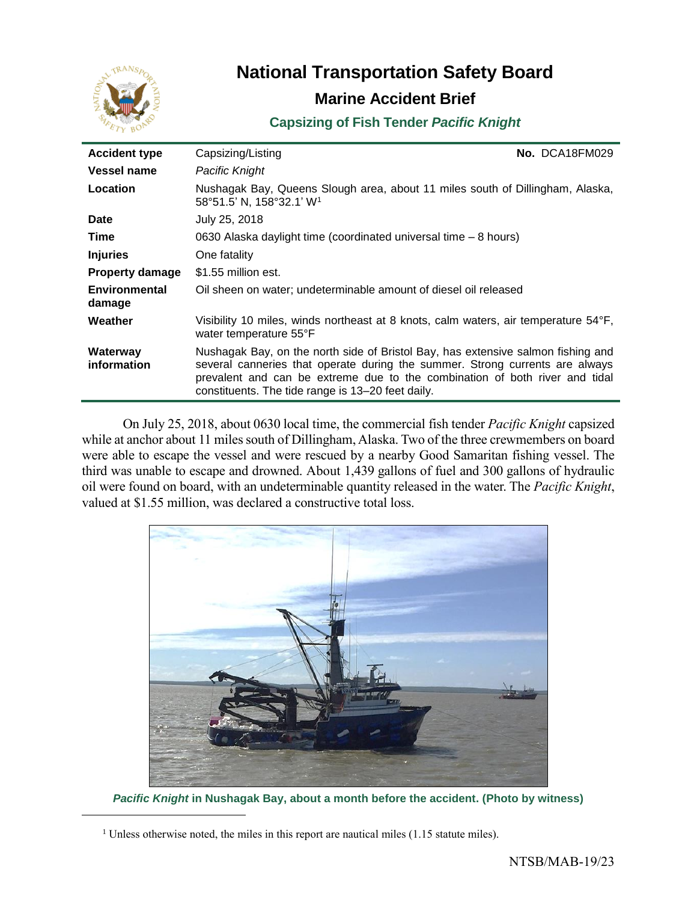

# **National Transportation Safety Board Marine Accident Brief**

## **Capsizing of Fish Tender** *Pacific Knight*

| <b>Accident type</b>           | Capsizing/Listing                                                                                                                                                                                                                                                                                    | No. DCA18FM029 |
|--------------------------------|------------------------------------------------------------------------------------------------------------------------------------------------------------------------------------------------------------------------------------------------------------------------------------------------------|----------------|
| Vessel name                    | Pacific Knight                                                                                                                                                                                                                                                                                       |                |
| Location                       | Nushagak Bay, Queens Slough area, about 11 miles south of Dillingham, Alaska,<br>58°51.5' N, 158°32.1' W <sup>1</sup>                                                                                                                                                                                |                |
| <b>Date</b>                    | July 25, 2018                                                                                                                                                                                                                                                                                        |                |
| Time                           | 0630 Alaska daylight time (coordinated universal time – 8 hours)                                                                                                                                                                                                                                     |                |
| <b>Injuries</b>                | One fatality                                                                                                                                                                                                                                                                                         |                |
| <b>Property damage</b>         | \$1.55 million est.                                                                                                                                                                                                                                                                                  |                |
| <b>Environmental</b><br>damage | Oil sheen on water; undeterminable amount of diesel oil released                                                                                                                                                                                                                                     |                |
| Weather                        | Visibility 10 miles, winds northeast at 8 knots, calm waters, air temperature 54°F,<br>water temperature 55°F                                                                                                                                                                                        |                |
| Waterway<br>information        | Nushagak Bay, on the north side of Bristol Bay, has extensive salmon fishing and<br>several canneries that operate during the summer. Strong currents are always<br>prevalent and can be extreme due to the combination of both river and tidal<br>constituents. The tide range is 13–20 feet daily. |                |

On July 25, 2018, about 0630 local time, the commercial fish tender *Pacific Knight* capsized while at anchor about 11 miles south of Dillingham, Alaska. Two of the three crewmembers on board were able to escape the vessel and were rescued by a nearby Good Samaritan fishing vessel. The third was unable to escape and drowned. About 1,439 gallons of fuel and 300 gallons of hydraulic oil were found on board, with an undeterminable quantity released in the water. The *Pacific Knight*, valued at \$1.55 million, was declared a constructive total loss.



*Pacific Knight* **in Nushagak Bay, about a month before the accident. (Photo by witness)**

<sup>&</sup>lt;sup>1</sup> Unless otherwise noted, the miles in this report are nautical miles  $(1.15$  statute miles).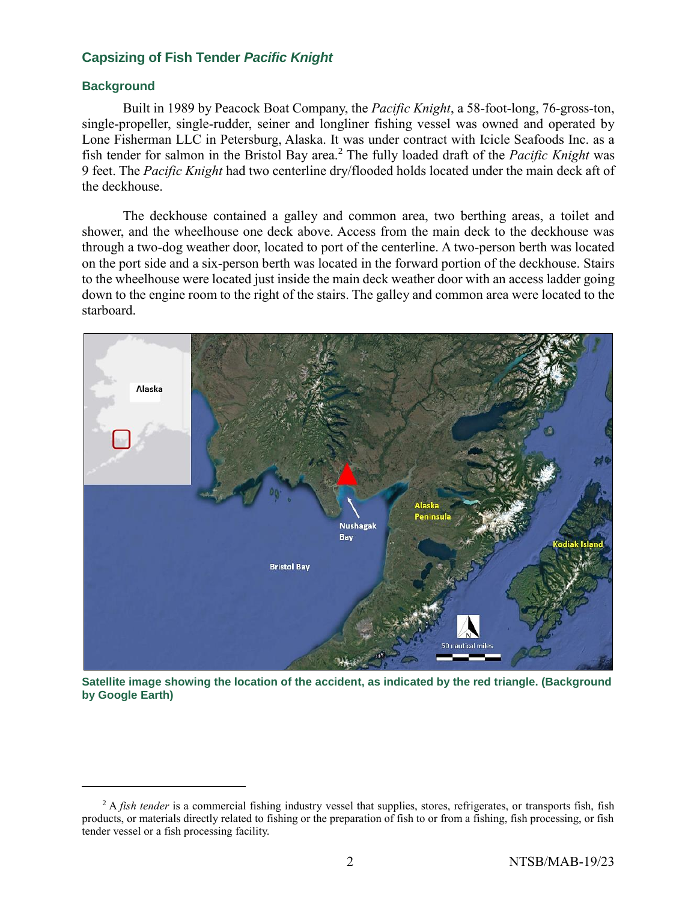#### **Background**

Built in 1989 by Peacock Boat Company, the *Pacific Knight*, a 58-foot-long, 76-gross-ton, single-propeller, single-rudder, seiner and longliner fishing vessel was owned and operated by Lone Fisherman LLC in Petersburg, Alaska. It was under contract with Icicle Seafoods Inc. as a fish tender for salmon in the Bristol Bay area. <sup>2</sup> The fully loaded draft of the *Pacific Knight* was 9 feet. The *Pacific Knight* had two centerline dry/flooded holds located under the main deck aft of the deckhouse.

The deckhouse contained a galley and common area, two berthing areas, a toilet and shower, and the wheelhouse one deck above. Access from the main deck to the deckhouse was through a two-dog weather door, located to port of the centerline. A two-person berth was located on the port side and a six-person berth was located in the forward portion of the deckhouse. Stairs to the wheelhouse were located just inside the main deck weather door with an access ladder going down to the engine room to the right of the stairs. The galley and common area were located to the starboard.



**Satellite image showing the location of the accident, as indicated by the red triangle. (Background by Google Earth)**

<sup>&</sup>lt;sup>2</sup> A *fish tender* is a commercial fishing industry vessel that supplies, stores, refrigerates, or transports fish, fish products, or materials directly related to fishing or the preparation of fish to or from a fishing, fish processing, or fish tender vessel or a fish processing facility.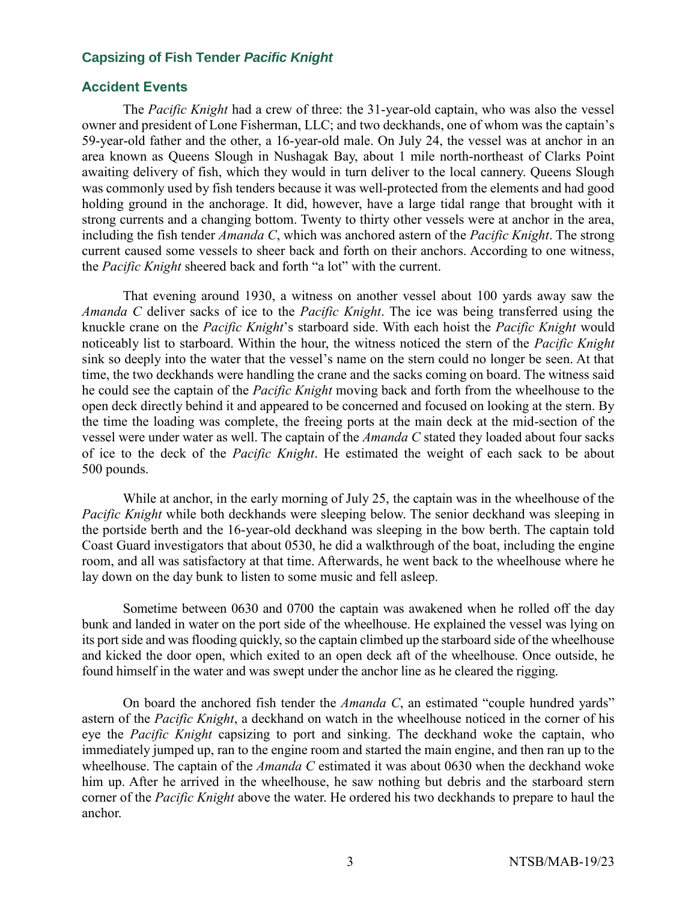#### **Accident Events**

The *Pacific Knight* had a crew of three: the 31-year-old captain, who was also the vessel owner and president of Lone Fisherman, LLC; and two deckhands, one of whom was the captain's 59-year-old father and the other, a 16-year-old male. On July 24, the vessel was at anchor in an area known as Queens Slough in Nushagak Bay, about 1 mile north-northeast of Clarks Point awaiting delivery of fish, which they would in turn deliver to the local cannery. Queens Slough was commonly used by fish tenders because it was well-protected from the elements and had good holding ground in the anchorage. It did, however, have a large tidal range that brought with it strong currents and a changing bottom. Twenty to thirty other vessels were at anchor in the area, including the fish tender *Amanda C*, which was anchored astern of the *Pacific Knight*. The strong current caused some vessels to sheer back and forth on their anchors. According to one witness, the *Pacific Knight* sheered back and forth "a lot" with the current.

That evening around 1930, a witness on another vessel about 100 yards away saw the *Amanda C* deliver sacks of ice to the *Pacific Knight*. The ice was being transferred using the knuckle crane on the *Pacific Knight*'s starboard side. With each hoist the *Pacific Knight* would noticeably list to starboard. Within the hour, the witness noticed the stern of the *Pacific Knight* sink so deeply into the water that the vessel's name on the stern could no longer be seen. At that time, the two deckhands were handling the crane and the sacks coming on board. The witness said he could see the captain of the *Pacific Knight* moving back and forth from the wheelhouse to the open deck directly behind it and appeared to be concerned and focused on looking at the stern. By the time the loading was complete, the freeing ports at the main deck at the mid-section of the vessel were under water as well. The captain of the *Amanda C* stated they loaded about four sacks of ice to the deck of the *Pacific Knight*. He estimated the weight of each sack to be about 500 pounds.

While at anchor, in the early morning of July 25, the captain was in the wheelhouse of the *Pacific Knight* while both deckhands were sleeping below. The senior deckhand was sleeping in the portside berth and the 16-year-old deckhand was sleeping in the bow berth. The captain told Coast Guard investigators that about 0530, he did a walkthrough of the boat, including the engine room, and all was satisfactory at that time. Afterwards, he went back to the wheelhouse where he lay down on the day bunk to listen to some music and fell asleep.

Sometime between 0630 and 0700 the captain was awakened when he rolled off the day bunk and landed in water on the port side of the wheelhouse. He explained the vessel was lying on its port side and was flooding quickly, so the captain climbed up the starboard side of the wheelhouse and kicked the door open, which exited to an open deck aft of the wheelhouse. Once outside, he found himself in the water and was swept under the anchor line as he cleared the rigging.

On board the anchored fish tender the *Amanda C*, an estimated "couple hundred yards" astern of the *Pacific Knight*, a deckhand on watch in the wheelhouse noticed in the corner of his eye the *Pacific Knight* capsizing to port and sinking. The deckhand woke the captain, who immediately jumped up, ran to the engine room and started the main engine, and then ran up to the wheelhouse. The captain of the *Amanda C* estimated it was about 0630 when the deckhand woke him up. After he arrived in the wheelhouse, he saw nothing but debris and the starboard stern corner of the *Pacific Knight* above the water. He ordered his two deckhands to prepare to haul the anchor.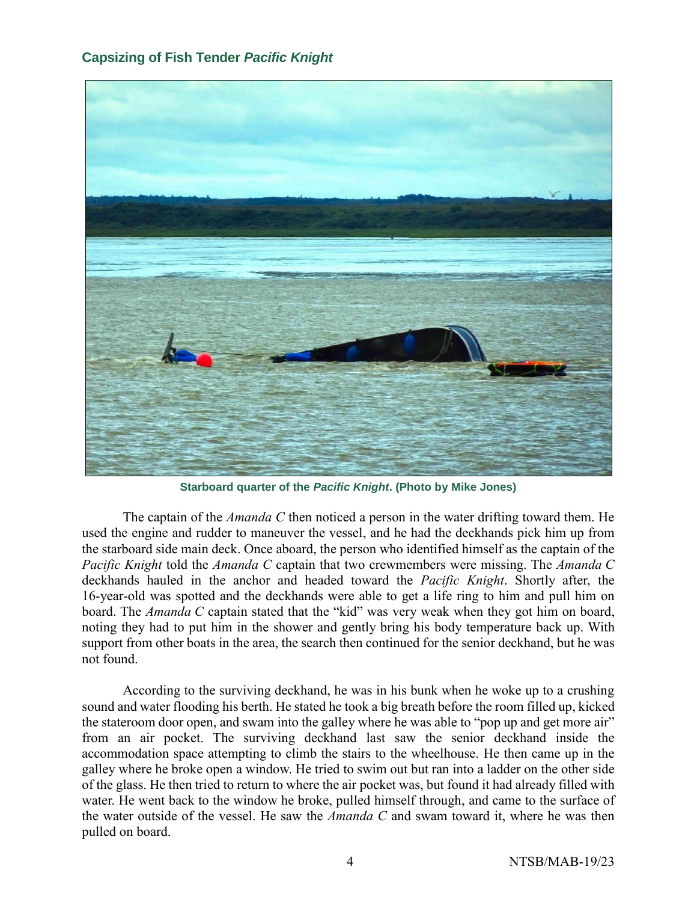

**Starboard quarter of the** *Pacific Knight***. (Photo by Mike Jones)**

The captain of the *Amanda C* then noticed a person in the water drifting toward them. He used the engine and rudder to maneuver the vessel, and he had the deckhands pick him up from the starboard side main deck. Once aboard, the person who identified himself as the captain of the *Pacific Knight* told the *Amanda C* captain that two crewmembers were missing. The *Amanda C* deckhands hauled in the anchor and headed toward the *Pacific Knight*. Shortly after, the 16-year-old was spotted and the deckhands were able to get a life ring to him and pull him on board. The *Amanda C* captain stated that the "kid" was very weak when they got him on board, noting they had to put him in the shower and gently bring his body temperature back up. With support from other boats in the area, the search then continued for the senior deckhand, but he was not found.

According to the surviving deckhand, he was in his bunk when he woke up to a crushing sound and water flooding his berth. He stated he took a big breath before the room filled up, kicked the stateroom door open, and swam into the galley where he was able to "pop up and get more air" from an air pocket. The surviving deckhand last saw the senior deckhand inside the accommodation space attempting to climb the stairs to the wheelhouse. He then came up in the galley where he broke open a window. He tried to swim out but ran into a ladder on the other side of the glass. He then tried to return to where the air pocket was, but found it had already filled with water. He went back to the window he broke, pulled himself through, and came to the surface of the water outside of the vessel. He saw the *Amanda C* and swam toward it, where he was then pulled on board.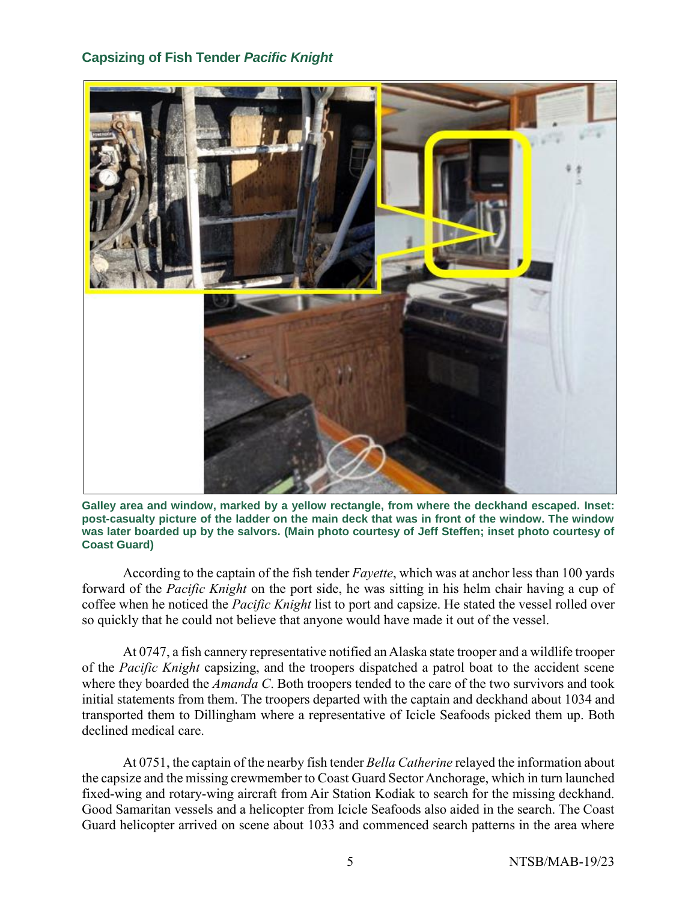

**Galley area and window, marked by a yellow rectangle, from where the deckhand escaped. Inset: post-casualty picture of the ladder on the main deck that was in front of the window. The window was later boarded up by the salvors. (Main photo courtesy of Jeff Steffen; inset photo courtesy of Coast Guard)**

According to the captain of the fish tender *Fayette*, which was at anchor less than 100 yards forward of the *Pacific Knight* on the port side, he was sitting in his helm chair having a cup of coffee when he noticed the *Pacific Knight* list to port and capsize. He stated the vessel rolled over so quickly that he could not believe that anyone would have made it out of the vessel.

At 0747, a fish cannery representative notified an Alaska state trooper and a wildlife trooper of the *Pacific Knight* capsizing, and the troopers dispatched a patrol boat to the accident scene where they boarded the *Amanda C*. Both troopers tended to the care of the two survivors and took initial statements from them. The troopers departed with the captain and deckhand about 1034 and transported them to Dillingham where a representative of Icicle Seafoods picked them up. Both declined medical care.

At 0751, the captain of the nearby fish tender *Bella Catherine* relayed the information about the capsize and the missing crewmember to Coast Guard Sector Anchorage, which in turn launched fixed-wing and rotary-wing aircraft from Air Station Kodiak to search for the missing deckhand. Good Samaritan vessels and a helicopter from Icicle Seafoods also aided in the search. The Coast Guard helicopter arrived on scene about 1033 and commenced search patterns in the area where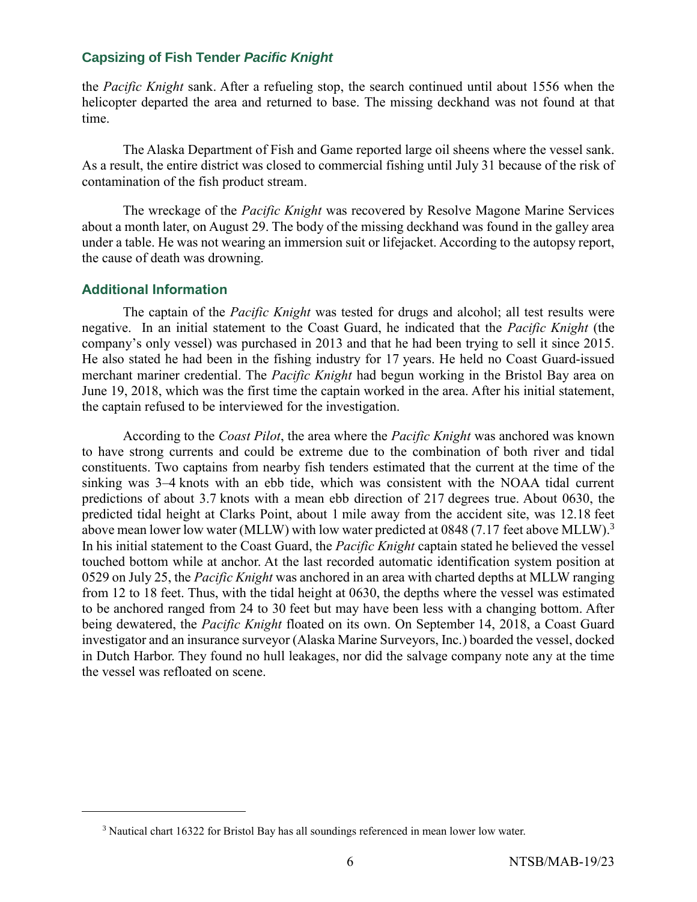the *Pacific Knight* sank. After a refueling stop, the search continued until about 1556 when the helicopter departed the area and returned to base. The missing deckhand was not found at that time.

The Alaska Department of Fish and Game reported large oil sheens where the vessel sank. As a result, the entire district was closed to commercial fishing until July 31 because of the risk of contamination of the fish product stream.

The wreckage of the *Pacific Knight* was recovered by Resolve Magone Marine Services about a month later, on August 29. The body of the missing deckhand was found in the galley area under a table. He was not wearing an immersion suit or lifejacket. According to the autopsy report, the cause of death was drowning.

### **Additional Information**

The captain of the *Pacific Knight* was tested for drugs and alcohol; all test results were negative. In an initial statement to the Coast Guard, he indicated that the *Pacific Knight* (the company's only vessel) was purchased in 2013 and that he had been trying to sell it since 2015. He also stated he had been in the fishing industry for 17 years. He held no Coast Guard-issued merchant mariner credential. The *Pacific Knight* had begun working in the Bristol Bay area on June 19, 2018, which was the first time the captain worked in the area. After his initial statement, the captain refused to be interviewed for the investigation.

According to the *Coast Pilot*, the area where the *Pacific Knight* was anchored was known to have strong currents and could be extreme due to the combination of both river and tidal constituents. Two captains from nearby fish tenders estimated that the current at the time of the sinking was 3–4 knots with an ebb tide, which was consistent with the NOAA tidal current predictions of about 3.7 knots with a mean ebb direction of 217 degrees true. About 0630, the predicted tidal height at Clarks Point, about 1 mile away from the accident site, was 12.18 feet above mean lower low water (MLLW) with low water predicted at 0848 (7.17 feet above MLLW).<sup>3</sup> In his initial statement to the Coast Guard, the *Pacific Knight* captain stated he believed the vessel touched bottom while at anchor. At the last recorded automatic identification system position at 0529 on July 25, the *Pacific Knight* was anchored in an area with charted depths at MLLW ranging from 12 to 18 feet. Thus, with the tidal height at 0630, the depths where the vessel was estimated to be anchored ranged from 24 to 30 feet but may have been less with a changing bottom. After being dewatered, the *Pacific Knight* floated on its own. On September 14, 2018, a Coast Guard investigator and an insurance surveyor (Alaska Marine Surveyors, Inc.) boarded the vessel, docked in Dutch Harbor. They found no hull leakages, nor did the salvage company note any at the time the vessel was refloated on scene.

<sup>3</sup> Nautical chart 16322 for Bristol Bay has all soundings referenced in mean lower low water.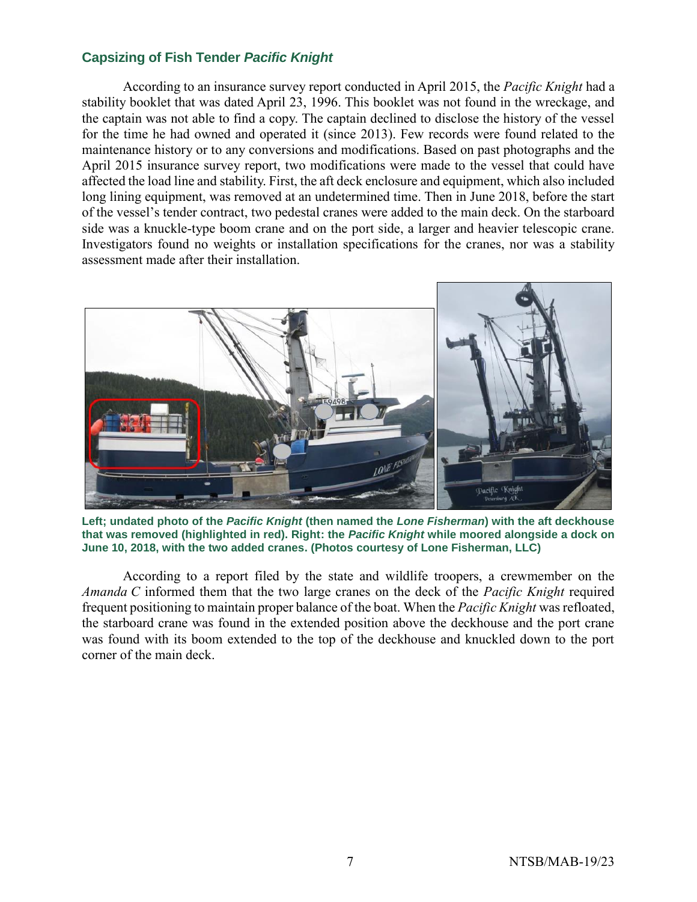According to an insurance survey report conducted in April 2015, the *Pacific Knight* had a stability booklet that was dated April 23, 1996. This booklet was not found in the wreckage, and the captain was not able to find a copy. The captain declined to disclose the history of the vessel for the time he had owned and operated it (since 2013). Few records were found related to the maintenance history or to any conversions and modifications. Based on past photographs and the April 2015 insurance survey report, two modifications were made to the vessel that could have affected the load line and stability. First, the aft deck enclosure and equipment, which also included long lining equipment, was removed at an undetermined time. Then in June 2018, before the start of the vessel's tender contract, two pedestal cranes were added to the main deck. On the starboard side was a knuckle-type boom crane and on the port side, a larger and heavier telescopic crane. Investigators found no weights or installation specifications for the cranes, nor was a stability assessment made after their installation.



**Left; undated photo of the** *Pacific Knight* **(then named the** *Lone Fisherman***) with the aft deckhouse that was removed (highlighted in red). Right: the** *Pacific Knight* **while moored alongside a dock on June 10, 2018, with the two added cranes. (Photos courtesy of Lone Fisherman, LLC)**

According to a report filed by the state and wildlife troopers, a crewmember on the *Amanda C* informed them that the two large cranes on the deck of the *Pacific Knight* required frequent positioning to maintain proper balance of the boat. When the *Pacific Knight* was refloated, the starboard crane was found in the extended position above the deckhouse and the port crane was found with its boom extended to the top of the deckhouse and knuckled down to the port corner of the main deck.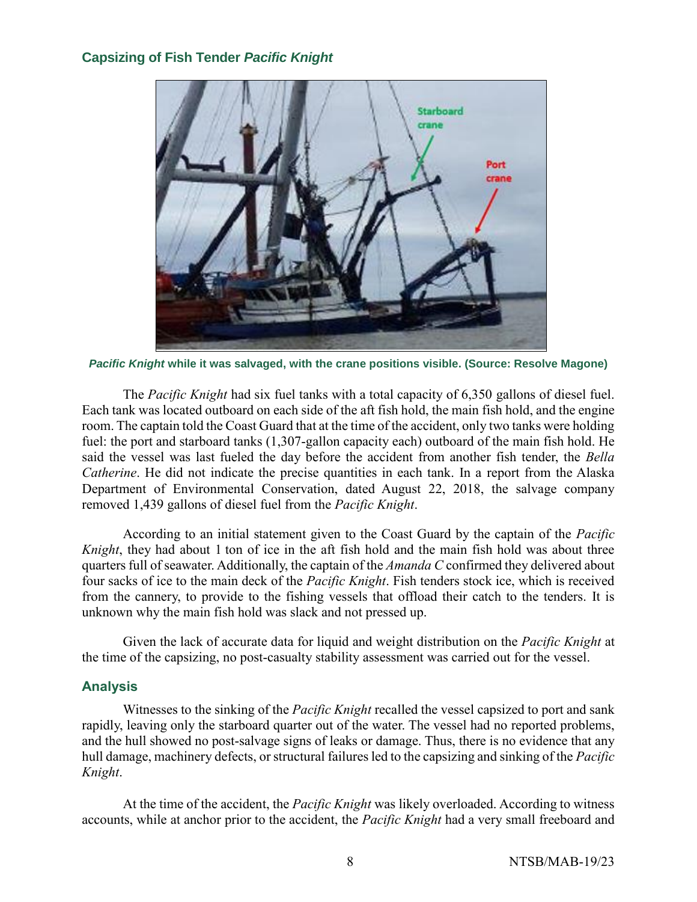

*Pacific Knight* **while it was salvaged, with the crane positions visible. (Source: Resolve Magone)**

The *Pacific Knight* had six fuel tanks with a total capacity of 6,350 gallons of diesel fuel. Each tank was located outboard on each side of the aft fish hold, the main fish hold, and the engine room. The captain told the Coast Guard that at the time of the accident, only two tanks were holding fuel: the port and starboard tanks (1,307-gallon capacity each) outboard of the main fish hold. He said the vessel was last fueled the day before the accident from another fish tender, the *Bella Catherine*. He did not indicate the precise quantities in each tank. In a report from the Alaska Department of Environmental Conservation, dated August 22, 2018, the salvage company removed 1,439 gallons of diesel fuel from the *Pacific Knight*.

According to an initial statement given to the Coast Guard by the captain of the *Pacific Knight*, they had about 1 ton of ice in the aft fish hold and the main fish hold was about three quarters full of seawater. Additionally, the captain of the *Amanda C* confirmed they delivered about four sacks of ice to the main deck of the *Pacific Knight*. Fish tenders stock ice, which is received from the cannery, to provide to the fishing vessels that offload their catch to the tenders. It is unknown why the main fish hold was slack and not pressed up.

Given the lack of accurate data for liquid and weight distribution on the *Pacific Knight* at the time of the capsizing, no post-casualty stability assessment was carried out for the vessel.

## **Analysis**

Witnesses to the sinking of the *Pacific Knight* recalled the vessel capsized to port and sank rapidly, leaving only the starboard quarter out of the water. The vessel had no reported problems, and the hull showed no post-salvage signs of leaks or damage. Thus, there is no evidence that any hull damage, machinery defects, or structural failures led to the capsizing and sinking of the *Pacific Knight*.

At the time of the accident, the *Pacific Knight* was likely overloaded. According to witness accounts, while at anchor prior to the accident, the *Pacific Knight* had a very small freeboard and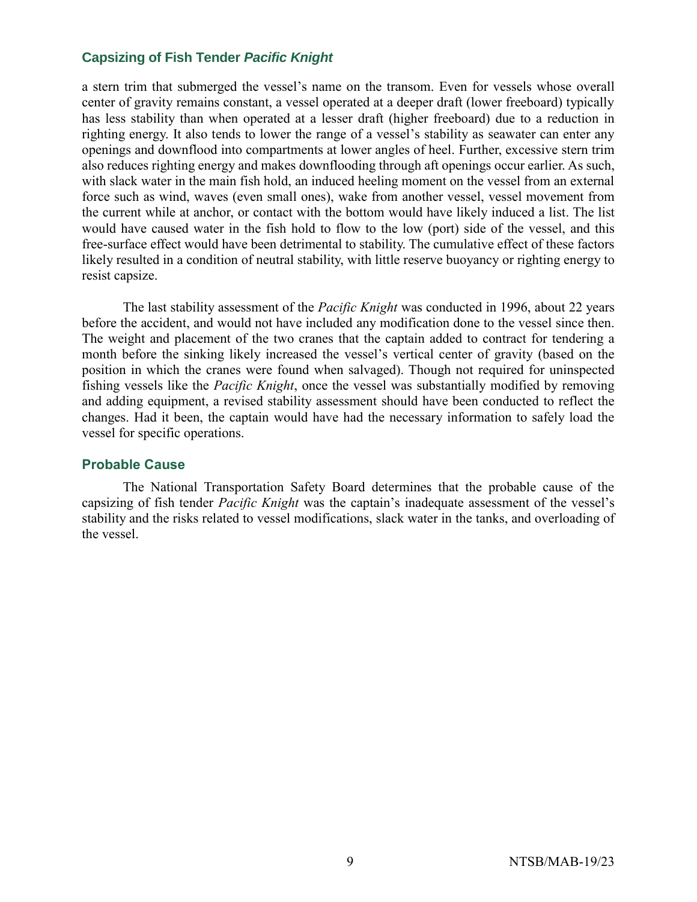a stern trim that submerged the vessel's name on the transom. Even for vessels whose overall center of gravity remains constant, a vessel operated at a deeper draft (lower freeboard) typically has less stability than when operated at a lesser draft (higher freeboard) due to a reduction in righting energy. It also tends to lower the range of a vessel's stability as seawater can enter any openings and downflood into compartments at lower angles of heel. Further, excessive stern trim also reduces righting energy and makes downflooding through aft openings occur earlier. As such, with slack water in the main fish hold, an induced heeling moment on the vessel from an external force such as wind, waves (even small ones), wake from another vessel, vessel movement from the current while at anchor, or contact with the bottom would have likely induced a list. The list would have caused water in the fish hold to flow to the low (port) side of the vessel, and this free-surface effect would have been detrimental to stability. The cumulative effect of these factors likely resulted in a condition of neutral stability, with little reserve buoyancy or righting energy to resist capsize.

The last stability assessment of the *Pacific Knight* was conducted in 1996, about 22 years before the accident, and would not have included any modification done to the vessel since then. The weight and placement of the two cranes that the captain added to contract for tendering a month before the sinking likely increased the vessel's vertical center of gravity (based on the position in which the cranes were found when salvaged). Though not required for uninspected fishing vessels like the *Pacific Knight*, once the vessel was substantially modified by removing and adding equipment, a revised stability assessment should have been conducted to reflect the changes. Had it been, the captain would have had the necessary information to safely load the vessel for specific operations.

#### **Probable Cause**

The National Transportation Safety Board determines that the probable cause of the capsizing of fish tender *Pacific Knight* was the captain's inadequate assessment of the vessel's stability and the risks related to vessel modifications, slack water in the tanks, and overloading of the vessel.